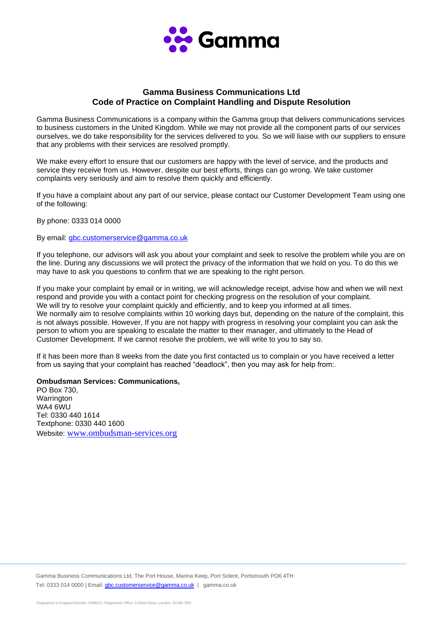

## **Gamma Business Communications Ltd Code of Practice on Complaint Handling and Dispute Resolution**

Gamma Business Communications is a company within the Gamma group that delivers communications services to business customers in the United Kingdom. While we may not provide all the component parts of our services ourselves, we do take responsibility for the services delivered to you. So we will liaise with our suppliers to ensure that any problems with their services are resolved promptly.

We make every effort to ensure that our customers are happy with the level of service, and the products and service they receive from us. However, despite our best efforts, things can go wrong. We take customer complaints very seriously and aim to resolve them quickly and efficiently.

If you have a complaint about any part of our service, please contact our Customer Development Team using one of the following:

By phone: 0333 014 0000

By email: [gbc.customerservice@gamma.co.uk](mailto:gbc.customerservice@gamma.co.uk)

If you telephone, our advisors will ask you about your complaint and seek to resolve the problem while you are on the line. During any discussions we will protect the privacy of the information that we hold on you. To do this we may have to ask you questions to confirm that we are speaking to the right person.

If you make your complaint by email or in writing, we will acknowledge receipt, advise how and when we will next respond and provide you with a contact point for checking progress on the resolution of your complaint. We will try to resolve your complaint quickly and efficiently, and to keep you informed at all times. We normally aim to resolve complaints within 10 working days but, depending on the nature of the complaint, this is not always possible. However, If you are not happy with progress in resolving your complaint you can ask the person to whom you are speaking to escalate the matter to their manager, and ultimately to the Head of Customer Development. If we cannot resolve the problem, we will write to you to say so.

If it has been more than 8 weeks from the date you first contacted us to complain or you have received a letter from us saying that your complaint has reached "deadlock", then you may ask for help from:*.* 

## **Ombudsman Services: Communications,**

PO Box 730, **Warrington** WA4 6WU Tel: 0330 440 1614 Textphone: 0330 440 1600 Website: [www.ombudsman-services.org](http://www.ombudsman-services.org/)

Gamma Business Communications Ltd, The Port House, Marina Keep, Port Solent, Portsmouth PO6 4TH Tel: 0333 014 0000 | Email[: gbc.customerservice@gamma.co.uk](mailto:gbc.customerservice@gamma.co.uk) | gamma.co.uk